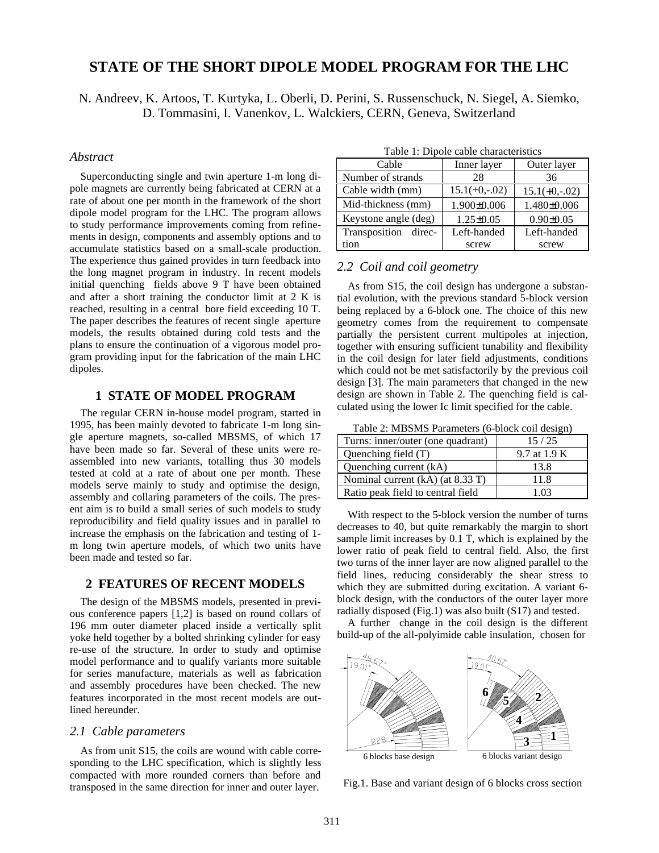# **STATE OF THE SHORT DIPOLE MODEL PROGRAM FOR THE LHC**

N. Andreev, K. Artoos, T. Kurtyka, L. Oberli, D. Perini, S. Russenschuck, N. Siegel, A. Siemko, D. Tommasini, I. Vanenkov, L. Walckiers, CERN, Geneva, Switzerland

## *Abstract*

Superconducting single and twin aperture 1-m long dipole magnets are currently being fabricated at CERN at a rate of about one per month in the framework of the short dipole model program for the LHC. The program allows to study performance improvements coming from refinements in design, components and assembly options and to accumulate statistics based on a small-scale production. The experience thus gained provides in turn feedback into the long magnet program in industry. In recent models initial quenching fields above 9 T have been obtained and after a short training the conductor limit at 2 K is reached, resulting in a central bore field exceeding 10 T. The paper describes the features of recent single aperture models, the results obtained during cold tests and the plans to ensure the continuation of a vigorous model program providing input for the fabrication of the main LHC dipoles.

## **1 STATE OF MODEL PROGRAM**

The regular CERN in-house model program, started in 1995, has been mainly devoted to fabricate 1-m long single aperture magnets, so-called MBSMS, of which 17 have been made so far. Several of these units were reassembled into new variants, totalling thus 30 models tested at cold at a rate of about one per month. These models serve mainly to study and optimise the design, assembly and collaring parameters of the coils. The present aim is to build a small series of such models to study reproducibility and field quality issues and in parallel to increase the emphasis on the fabrication and testing of 1 m long twin aperture models, of which two units have been made and tested so far.

# **2 FEATURES OF RECENT MODELS**

The design of the MBSMS models, presented in previous conference papers [1,2] is based on round collars of 196 mm outer diameter placed inside a vertically split yoke held together by a bolted shrinking cylinder for easy re-use of the structure. In order to study and optimise model performance and to qualify variants more suitable for series manufacture, materials as well as fabrication and assembly procedures have been checked. The new features incorporated in the most recent models are outlined hereunder.

#### *2.1 Cable parameters*

As from unit S15, the coils are wound with cable corresponding to the LHC specification, which is slightly less compacted with more rounded corners than before and transposed in the same direction for inner and outer layer.

Cable Inner layer Outer layer Number of strands 28 36 Cable width (mm)  $\begin{array}{|c|c|c|c|c|c|} \hline 15.1(+0,-.02) & 15.1(+0,-.02) \hline \end{array}$ Mid-thickness (mm) 1.900±0.006 1.480±0.006 Keystone angle (deg) | 1.25±0.05 | 0.90±0.05 Transposition direction Left-handed screw Left-handed screw

Table 1: Dipole cable characteristics

# *2.2 Coil and coil geometry*

As from S15, the coil design has undergone a substantial evolution, with the previous standard 5-block version being replaced by a 6-block one. The choice of this new geometry comes from the requirement to compensate partially the persistent current multipoles at injection, together with ensuring sufficient tunability and flexibility in the coil design for later field adjustments, conditions which could not be met satisfactorily by the previous coil design [3]. The main parameters that changed in the new design are shown in Table 2. The quenching field is calculated using the lower Ic limit specified for the cable.

Table 2: MBSMS Parameters (6-block coil design)

| Turns: inner/outer (one quadrant) | 15/25        |
|-----------------------------------|--------------|
| Quenching field (T)               | 9.7 at 1.9 K |
| Quenching current (kA)            | 13.8         |
| Nominal current (kA) (at 8.33 T)  | 11.8         |
| Ratio peak field to central field | 1 በ3         |

With respect to the 5-block version the number of turns decreases to 40, but quite remarkably the margin to short sample limit increases by 0.1 T, which is explained by the lower ratio of peak field to central field. Also, the first two turns of the inner layer are now aligned parallel to the field lines, reducing considerably the shear stress to which they are submitted during excitation. A variant 6 block design, with the conductors of the outer layer more radially disposed (Fig.1) was also built (S17) and tested.

A further change in the coil design is the different build-up of the all-polyimide cable insulation, chosen for



Fig.1. Base and variant design of 6 blocks cross section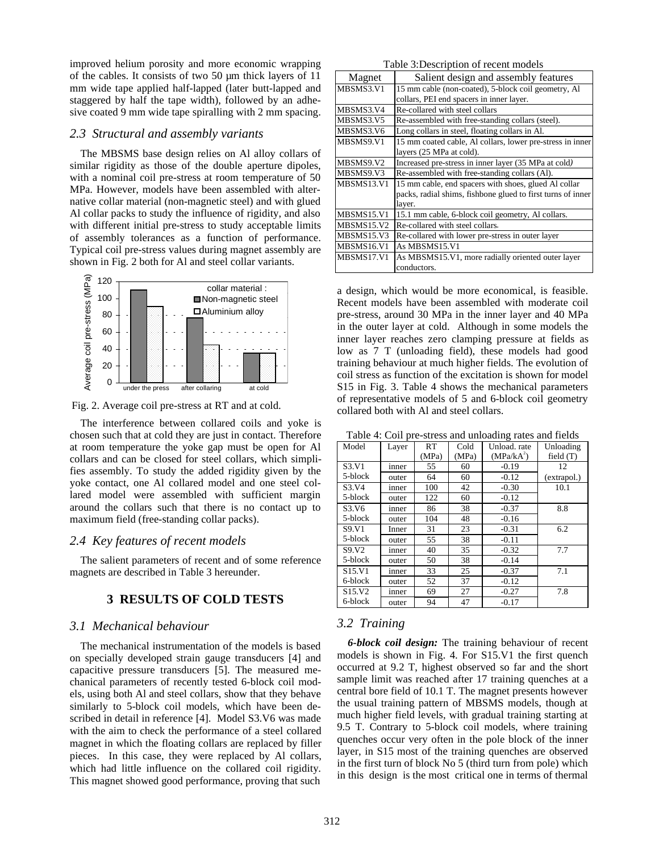improved helium porosity and more economic wrapping of the cables. It consists of two 50 µm thick layers of 11 mm wide tape applied half-lapped (later butt-lapped and staggered by half the tape width), followed by an adhesive coated 9 mm wide tape spiralling with 2 mm spacing.

#### *2.3 Structural and assembly variants*

The MBSMS base design relies on Al alloy collars of similar rigidity as those of the double aperture dipoles, with a nominal coil pre-stress at room temperature of 50 MPa. However, models have been assembled with alternative collar material (non-magnetic steel) and with glued Al collar packs to study the influence of rigidity, and also with different initial pre-stress to study acceptable limits of assembly tolerances as a function of performance. Typical coil pre-stress values during magnet assembly are shown in Fig. 2 both for Al and steel collar variants.



Fig. 2. Average coil pre-stress at RT and at cold.

The interference between collared coils and yoke is chosen such that at cold they are just in contact. Therefore at room temperature the yoke gap must be open for Al collars and can be closed for steel collars, which simplifies assembly. To study the added rigidity given by the yoke contact, one Al collared model and one steel collared model were assembled with sufficient margin around the collars such that there is no contact up to maximum field (free-standing collar packs).

## *2.4 Key features of recent models*

The salient parameters of recent and of some reference magnets are described in Table 3 hereunder.

# **3 RESULTS OF COLD TESTS**

## *3.1 Mechanical behaviour*

The mechanical instrumentation of the models is based on specially developed strain gauge transducers [4] and capacitive pressure transducers [5]. The measured mechanical parameters of recently tested 6-block coil models, using both Al and steel collars, show that they behave similarly to 5-block coil models, which have been described in detail in reference [4]. Model S3.V6 was made with the aim to check the performance of a steel collared magnet in which the floating collars are replaced by filler pieces. In this case, they were replaced by Al collars, which had little influence on the collared coil rigidity. This magnet showed good performance, proving that such

| Table 3: Description of recent models |                                                             |  |  |  |
|---------------------------------------|-------------------------------------------------------------|--|--|--|
| Magnet                                | Salient design and assembly features                        |  |  |  |
| MBSMS3.V1                             | 15 mm cable (non-coated), 5-block coil geometry, Al         |  |  |  |
|                                       | collars, PEI end spacers in inner layer.                    |  |  |  |
| MBSMS3.V4                             | Re-collared with steel collars                              |  |  |  |
| MBSMS3.V5                             | Re-assembled with free-standing collars (steel).            |  |  |  |
| MBSMS3.V6                             | Long collars in steel, floating collars in Al.              |  |  |  |
| MBSMS9.V1                             | 15 mm coated cable, Al collars, lower pre-stress in inner   |  |  |  |
|                                       | layers (25 MPa at cold).                                    |  |  |  |
| MBSMS9.V2                             | Increased pre-stress in inner layer (35 MPa at cold)        |  |  |  |
| MBSMS9.V3                             | Re-assembled with free-standing collars (Al).               |  |  |  |
| MBSMS13.V1                            | 15 mm cable, end spacers with shoes, glued Al collar        |  |  |  |
|                                       | packs, radial shims, fishbone glued to first turns of inner |  |  |  |
|                                       | layer.                                                      |  |  |  |
| MBSMS15.V1                            | 15.1 mm cable, 6-block coil geometry, Al collars.           |  |  |  |
| MBSMS15.V2                            | Re-collared with steel collars.                             |  |  |  |
| MBSMS15.V3                            | Re-collared with lower pre-stress in outer layer            |  |  |  |
| MBSMS16.V1                            | As MBSMS15.V1                                               |  |  |  |
| MBSMS17.V1                            | As MBSMS15.V1, more radially oriented outer layer           |  |  |  |
|                                       | conductors.                                                 |  |  |  |

a design, which would be more economical, is feasible. Recent models have been assembled with moderate coil pre-stress, around 30 MPa in the inner layer and 40 MPa in the outer layer at cold. Although in some models the inner layer reaches zero clamping pressure at fields as low as 7 T (unloading field), these models had good training behaviour at much higher fields. The evolution of coil stress as function of the excitation is shown for model S15 in Fig. 3. Table 4 shows the mechanical parameters of representative models of 5 and 6-block coil geometry collared both with Al and steel collars.

Table 4: Coil pre-stress and unloading rates and fields

|                                  |       |       |       | - -                    |             |
|----------------------------------|-------|-------|-------|------------------------|-------------|
| Model                            | Layer | RT    | Cold  | Unload, rate           | Unloading   |
|                                  |       | (MPa) | (MPa) | (MPa/kA <sup>2</sup> ) | field $(T)$ |
| S <sub>3</sub> .V <sub>1</sub>   | inner | 55    | 60    | $-0.19$                | 12          |
| 5-block                          | outer | 64    | 60    | $-0.12$                | (extrapol.) |
| S <sub>3</sub> .V <sub>4</sub>   | inner | 100   | 42    | $-0.30$                | 10.1        |
| 5-block                          | outer | 122   | 60    | $-0.12$                |             |
| S <sub>3</sub> .V <sub>6</sub>   | inner | 86    | 38    | $-0.37$                | 8.8         |
| 5-block                          | outer | 104   | 48    | $-0.16$                |             |
| S9.V1                            | Inner | 31    | 23    | $-0.31$                | 6.2         |
| 5-block                          | outer | 55    | 38    | $-0.11$                |             |
| S9.V2                            | inner | 40    | 35    | $-0.32$                | 7.7         |
| 5-block                          | outer | 50    | 38    | $-0.14$                |             |
| S <sub>15</sub> .V <sub>1</sub>  | inner | 33    | 25    | $-0.37$                | 7.1         |
| 6-block                          | outer | 52    | 37    | $-0.12$                |             |
| S <sub>15</sub> . V <sub>2</sub> | inner | 69    | 27    | $-0.27$                | 7.8         |
| 6-block                          | outer | 94    | 47    | $-0.17$                |             |

# *3.2 Training*

*6-block coil design:* The training behaviour of recent models is shown in Fig. 4. For S15.V1 the first quench occurred at 9.2 T, highest observed so far and the short sample limit was reached after 17 training quenches at a central bore field of 10.1 T. The magnet presents however the usual training pattern of MBSMS models, though at much higher field levels, with gradual training starting at 9.5 T. Contrary to 5-block coil models, where training quenches occur very often in the pole block of the inner layer, in S15 most of the training quenches are observed in the first turn of block No 5 (third turn from pole) which in this design is the most critical one in terms of thermal